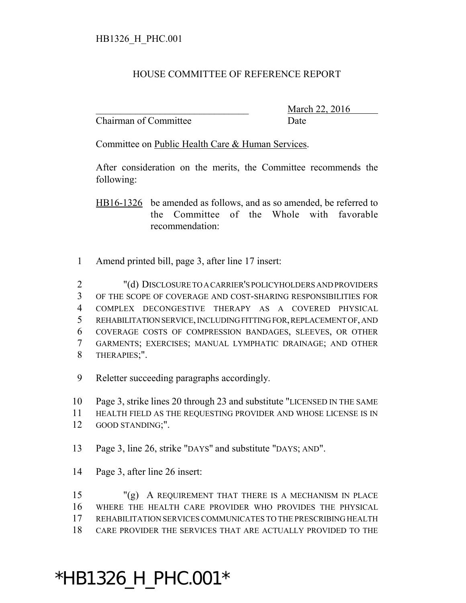## HOUSE COMMITTEE OF REFERENCE REPORT

Chairman of Committee Date

March 22, 2016

Committee on Public Health Care & Human Services.

After consideration on the merits, the Committee recommends the following:

HB16-1326 be amended as follows, and as so amended, be referred to the Committee of the Whole with favorable recommendation:

Amend printed bill, page 3, after line 17 insert:

 "(d) DISCLOSURE TO A CARRIER'S POLICYHOLDERS AND PROVIDERS OF THE SCOPE OF COVERAGE AND COST-SHARING RESPONSIBILITIES FOR COMPLEX DECONGESTIVE THERAPY AS A COVERED PHYSICAL REHABILITATION SERVICE, INCLUDING FITTING FOR, REPLACEMENT OF, AND COVERAGE COSTS OF COMPRESSION BANDAGES, SLEEVES, OR OTHER GARMENTS; EXERCISES; MANUAL LYMPHATIC DRAINAGE; AND OTHER THERAPIES;".

Reletter succeeding paragraphs accordingly.

Page 3, strike lines 20 through 23 and substitute "LICENSED IN THE SAME

 HEALTH FIELD AS THE REQUESTING PROVIDER AND WHOSE LICENSE IS IN GOOD STANDING;".

- 
- Page 3, line 26, strike "DAYS" and substitute "DAYS; AND".
- Page 3, after line 26 insert:

 "(g) A REQUIREMENT THAT THERE IS A MECHANISM IN PLACE WHERE THE HEALTH CARE PROVIDER WHO PROVIDES THE PHYSICAL REHABILITATION SERVICES COMMUNICATES TO THE PRESCRIBING HEALTH CARE PROVIDER THE SERVICES THAT ARE ACTUALLY PROVIDED TO THE

## \*HB1326\_H\_PHC.001\*